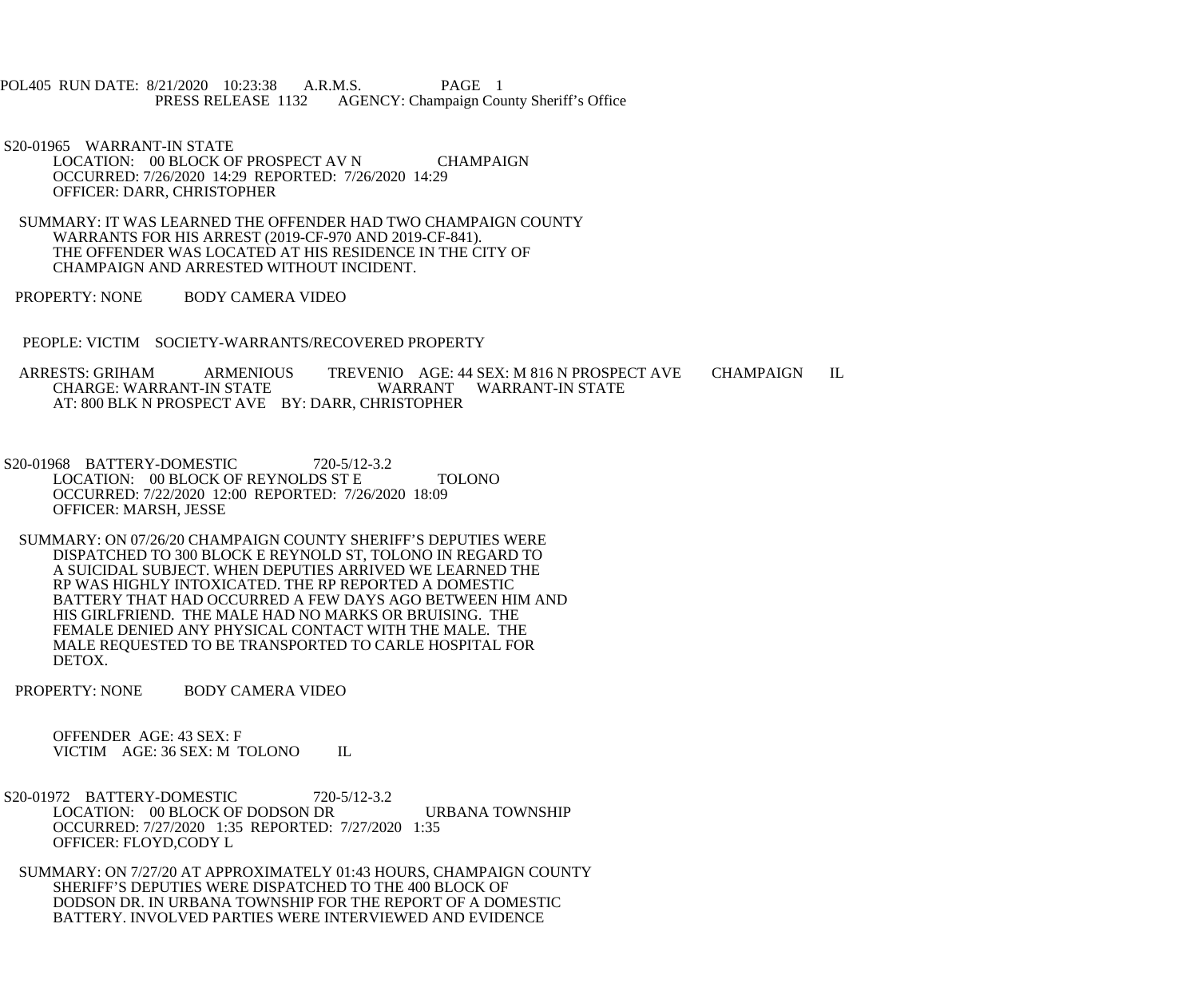POL405 RUN DATE: 8/21/2020 10:23:38 A.R.M.S. PAGE 1 PRESS RELEASE 1132 AGENCY: Champaign County Sheriff's Office

 S20-01965 WARRANT-IN STATE LOCATION: 00 BLOCK OF PROSPECT AV N CHAMPAIGN OCCURRED: 7/26/2020 14:29 REPORTED: 7/26/2020 14:29 OFFICER: DARR, CHRISTOPHER

 SUMMARY: IT WAS LEARNED THE OFFENDER HAD TWO CHAMPAIGN COUNTY WARRANTS FOR HIS ARREST (2019-CF-970 AND 2019-CF-841). THE OFFENDER WAS LOCATED AT HIS RESIDENCE IN THE CITY OF CHAMPAIGN AND ARRESTED WITHOUT INCIDENT.

PROPERTY: NONE BODY CAMERA VIDEO

PEOPLE: VICTIM SOCIETY-WARRANTS/RECOVERED PROPERTY

ARRESTS: GRIHAM ARMENIOUS TREVENIO AGE: 44 SEX: M 816 N PROSPECT AVE CHAMPAIGN IL CHARGE: WARRANT-IN STATE WARRANT WARRANT-IN STATE WARRANT WARRANT-IN STATE AT: 800 BLK N PROSPECT AVE BY: DARR, CHRISTOPHER

 S20-01968 BATTERY-DOMESTIC 720-5/12-3.2 LOCATION: 00 BLOCK OF REYNOLDS ST E TOLONO OCCURRED: 7/22/2020 12:00 REPORTED: 7/26/2020 18:09 OFFICER: MARSH, JESSE

 SUMMARY: ON 07/26/20 CHAMPAIGN COUNTY SHERIFF'S DEPUTIES WERE DISPATCHED TO 300 BLOCK E REYNOLD ST, TOLONO IN REGARD TO A SUICIDAL SUBJECT. WHEN DEPUTIES ARRIVED WE LEARNED THE RP WAS HIGHLY INTOXICATED. THE RP REPORTED A DOMESTIC BATTERY THAT HAD OCCURRED A FEW DAYS AGO BETWEEN HIM AND HIS GIRLFRIEND. THE MALE HAD NO MARKS OR BRUISING. THE FEMALE DENIED ANY PHYSICAL CONTACT WITH THE MALE. THE MALE REQUESTED TO BE TRANSPORTED TO CARLE HOSPITAL FOR DETOX.

PROPERTY: NONE BODY CAMERA VIDEO

 OFFENDER AGE: 43 SEX: F VICTIM AGE: 36 SEX: M TOLONO IL

 S20-01972 BATTERY-DOMESTIC 720-5/12-3.2 LOCATION: 00 BLOCK OF DODSON DR URBANA TOWNSHIP OCCURRED: 7/27/2020 1:35 REPORTED: 7/27/2020 1:35 OFFICER: FLOYD,CODY L

 SUMMARY: ON 7/27/20 AT APPROXIMATELY 01:43 HOURS, CHAMPAIGN COUNTY SHERIFF'S DEPUTIES WERE DISPATCHED TO THE 400 BLOCK OF DODSON DR. IN URBANA TOWNSHIP FOR THE REPORT OF A DOMESTIC BATTERY. INVOLVED PARTIES WERE INTERVIEWED AND EVIDENCE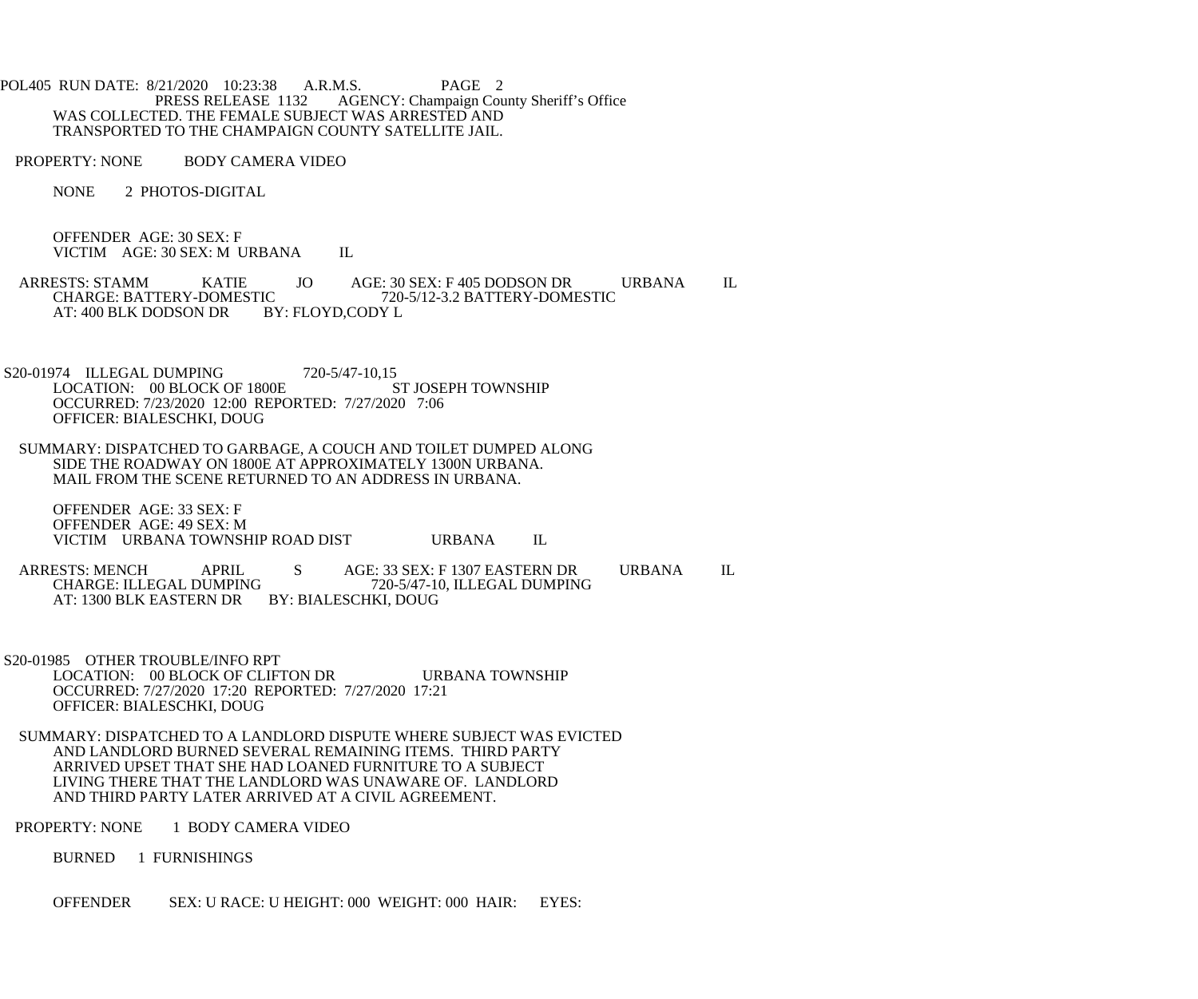POL405 RUN DATE: 8/21/2020 10:23:38 A.R.M.S. PAGE 2<br>PRESS RELEASE 1132 AGENCY: Champaign Cou AGENCY: Champaign County Sheriff's Office WAS COLLECTED. THE FEMALE SUBJECT WAS ARRESTED AND TRANSPORTED TO THE CHAMPAIGN COUNTY SATELLITE JAIL.

PROPERTY: NONE BODY CAMERA VIDEO

NONE 2 PHOTOS-DIGITAL

 OFFENDER AGE: 30 SEX: F VICTIM AGE: 30 SEX: M URBANA IL

ARRESTS: STAMM KATIE JO AGE: 30 SEX: F 405 DODSON DR URBANA IL CHARGE: BATTERY-DOMESTIC 720-5/12-3.2 BATTERY-DOMESTIC IC 720-5/12-3.2 BATTERY-DOMESTIC<br>BY: FLOYD,CODY L AT: 400 BLK DODSON DR

- S20-01974 ILLEGAL DUMPING<br>LOCATION: 00 BLOCK OF 1800E ST JOSEPH TOWNSHIP LOCATION: 00 BLOCK OF 1800E OCCURRED: 7/23/2020 12:00 REPORTED: 7/27/2020 7:06 OFFICER: BIALESCHKI, DOUG
- SUMMARY: DISPATCHED TO GARBAGE, A COUCH AND TOILET DUMPED ALONG SIDE THE ROADWAY ON 1800E AT APPROXIMATELY 1300N URBANA. MAIL FROM THE SCENE RETURNED TO AN ADDRESS IN URBANA.

 OFFENDER AGE: 33 SEX: F OFFENDER AGE: 49 SEX: M VICTIM URBANA TOWNSHIP ROAD DIST URBANA IL

ARRESTS: MENCH APRIL S AGE: 33 SEX: F 1307 EASTERN DR URBANA IL CHARGE: ILLEGAL DUMPING 720-5/47-10. ILLEGAL DUMPING 720-5/47-10, ILLEGAL DUMPING AT: 1300 BLK EASTERN DR BY: BIALESCHKI, DOUG

 S20-01985 OTHER TROUBLE/INFO RPT LOCATION: 00 BLOCK OF CLIFTON DR URBANA TOWNSHIP OCCURRED: 7/27/2020 17:20 REPORTED: 7/27/2020 17:21 OFFICER: BIALESCHKI, DOUG

 SUMMARY: DISPATCHED TO A LANDLORD DISPUTE WHERE SUBJECT WAS EVICTED AND LANDLORD BURNED SEVERAL REMAINING ITEMS. THIRD PARTY ARRIVED UPSET THAT SHE HAD LOANED FURNITURE TO A SUBJECT LIVING THERE THAT THE LANDLORD WAS UNAWARE OF. LANDLORD AND THIRD PARTY LATER ARRIVED AT A CIVIL AGREEMENT.

PROPERTY: NONE 1 BODY CAMERA VIDEO

BURNED 1 FURNISHINGS

OFFENDER SEX: U RACE: U HEIGHT: 000 WEIGHT: 000 HAIR: EYES: